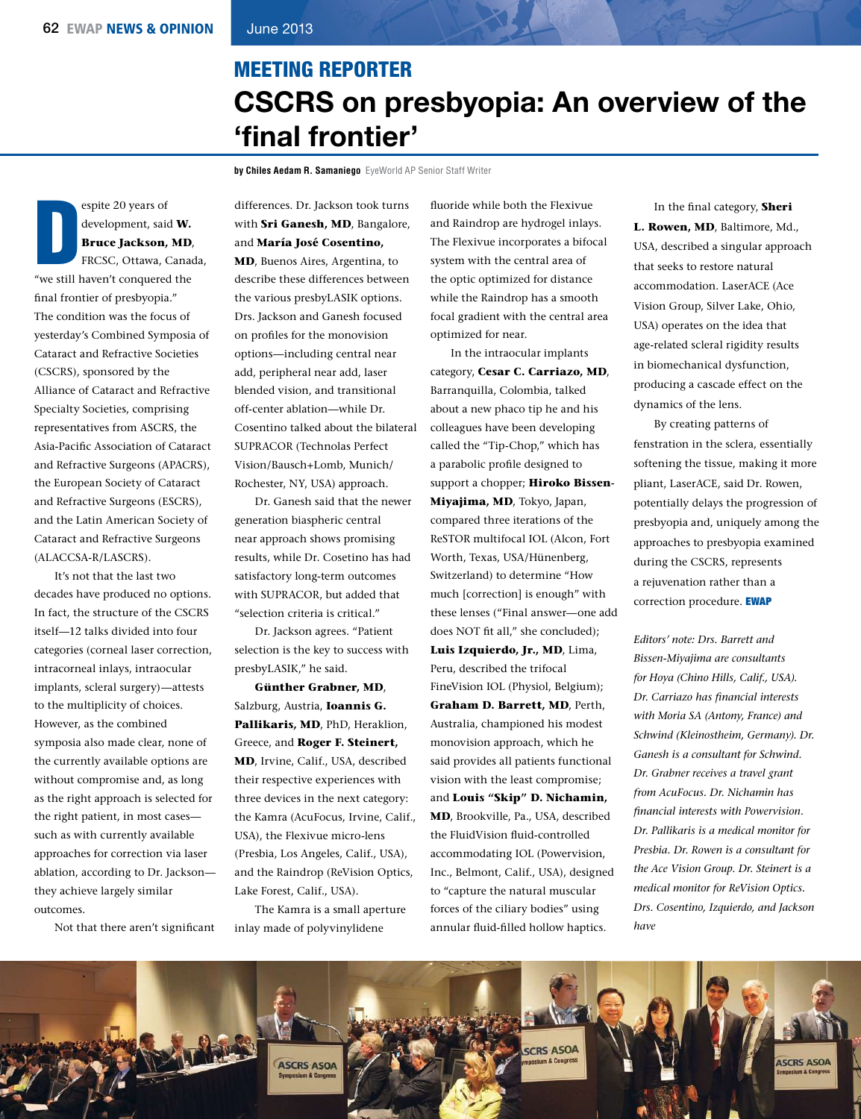## MEETING REPORTER CSCRS on presbyopia: An overview of the 'final frontier'

**by Chiles Aedam R. Samaniego** EyeWorld AP Senior Staff Writer

D espite 20 years of development, said **W. Bruce Jackson, MD**, FRCSC, Ottawa, Canada, "we still haven't conquered the fnal frontier of presbyopia." The condition was the focus of yesterday's Combined Symposia of Cataract and Refractive Societies (CSCRS), sponsored by the Alliance of Cataract and Refractive Specialty Societies, comprising representatives from ASCRS, the Asia-Pacifc Association of Cataract and Refractive Surgeons (APACRS), the European Society of Cataract and Refractive Surgeons (ESCRS), and the Latin American Society of Cataract and Refractive Surgeons (ALACCSA-R/LASCRS).

It's not that the last two decades have produced no options. In fact, the structure of the CSCRS itself—12 talks divided into four categories (corneal laser correction, intracorneal inlays, intraocular implants, scleral surgery)—attests to the multiplicity of choices. However, as the combined symposia also made clear, none of the currently available options are without compromise and, as long as the right approach is selected for the right patient, in most cases such as with currently available approaches for correction via laser ablation, according to Dr. Jackson they achieve largely similar outcomes.

Not that there aren't signifcant

differences. Dr. Jackson took turns with **Sri Ganesh, MD**, Bangalore, and **María José Cosentino, MD**, Buenos Aires, Argentina, to describe these differences between the various presbyLASIK options. Drs. Jackson and Ganesh focused on profles for the monovision options—including central near add, peripheral near add, laser blended vision, and transitional off-center ablation—while Dr. Cosentino talked about the bilateral SUPRACOR (Technolas Perfect Vision/Bausch+Lomb, Munich/ Rochester, NY, USA) approach.

Dr. Ganesh said that the newer generation biaspheric central near approach shows promising results, while Dr. Cosetino has had satisfactory long-term outcomes with SUPRACOR, but added that "selection criteria is critical."

Dr. Jackson agrees. "Patient selection is the key to success with presbyLASIK," he said.

**Günther Grabner, MD**, Salzburg, Austria, **Ioannis G. Pallikaris, MD**, PhD, Heraklion, Greece, and **Roger F. Steinert, MD**, Irvine, Calif., USA, described their respective experiences with three devices in the next category: the Kamra (AcuFocus, Irvine, Calif., USA), the Flexivue micro-lens (Presbia, Los Angeles, Calif., USA), and the Raindrop (ReVision Optics, Lake Forest, Calif., USA).

The Kamra is a small aperture inlay made of polyvinylidene

fuoride while both the Flexivue and Raindrop are hydrogel inlays. The Flexivue incorporates a bifocal system with the central area of the optic optimized for distance while the Raindrop has a smooth focal gradient with the central area optimized for near.

In the intraocular implants category, **Cesar C. Carriazo, MD**, Barranquilla, Colombia, talked about a new phaco tip he and his colleagues have been developing called the "Tip-Chop," which has a parabolic profle designed to support a chopper; **Hiroko Bissen-Miyajima, MD**, Tokyo, Japan, compared three iterations of the ReSTOR multifocal IOL (Alcon, Fort Worth, Texas, USA/Hünenberg, Switzerland) to determine "How much [correction] is enough" with these lenses ("Final answer—one add does NOT fit all," she concluded); **Luis Izquierdo, Jr., MD**, Lima, Peru, described the trifocal FineVision IOL (Physiol, Belgium); **Graham D. Barrett, MD**, Perth, Australia, championed his modest monovision approach, which he said provides all patients functional vision with the least compromise; and **Louis "Skip" D. Nichamin, MD**, Brookville, Pa., USA, described the FluidVision fuid-controlled accommodating IOL (Powervision, Inc., Belmont, Calif., USA), designed to "capture the natural muscular forces of the ciliary bodies" using annular fuid-flled hollow haptics.

In the fnal category, **Sheri L. Rowen, MD**, Baltimore, Md., USA, described a singular approach that seeks to restore natural accommodation. LaserACE (Ace Vision Group, Silver Lake, Ohio, USA) operates on the idea that age-related scleral rigidity results in biomechanical dysfunction, producing a cascade effect on the dynamics of the lens.

By creating patterns of fenstration in the sclera, essentially softening the tissue, making it more pliant, LaserACE, said Dr. Rowen, potentially delays the progression of presbyopia and, uniquely among the approaches to presbyopia examined during the CSCRS, represents a rejuvenation rather than a correction procedure. EWAP

*Editors' note: Drs. Barrett and Bissen-Miyajima are consultants for Hoya (Chino Hills, Calif., USA). Dr. Carriazo has fnancial interests with Moria SA (Antony, France) and Schwind (Kleinostheim, Germany). Dr. Ganesh is a consultant for Schwind. Dr. Grabner receives a travel grant from AcuFocus. Dr. Nichamin has fnancial interests with Powervision. Dr. Pallikaris is a medical monitor for Presbia. Dr. Rowen is a consultant for the Ace Vision Group. Dr. Steinert is a medical monitor for ReVision Optics. Drs. Cosentino, Izquierdo, and Jackson have*